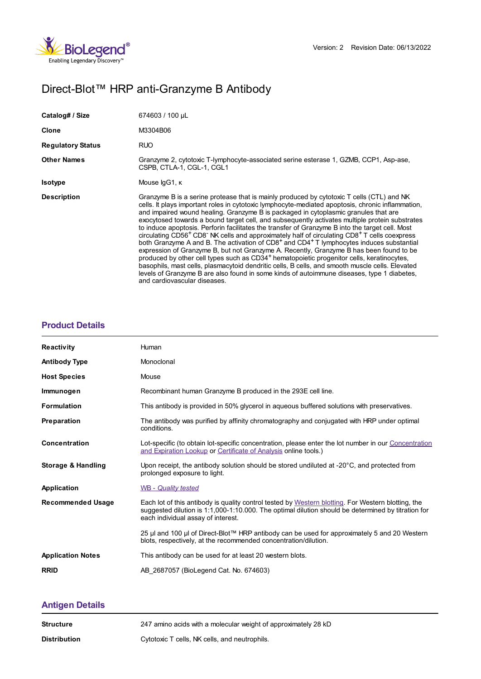

# Direct-Blot™ HRP anti-Granzyme B Antibody

| Catalog# / Size          | 674603 / 100 µL                                                                                                                                                                                                                                                                                                                                                                                                                                                                                                                                                                                                                                                                                                                                                                                                                                                                                                                                                                                                                                                                                                                                                                         |
|--------------------------|-----------------------------------------------------------------------------------------------------------------------------------------------------------------------------------------------------------------------------------------------------------------------------------------------------------------------------------------------------------------------------------------------------------------------------------------------------------------------------------------------------------------------------------------------------------------------------------------------------------------------------------------------------------------------------------------------------------------------------------------------------------------------------------------------------------------------------------------------------------------------------------------------------------------------------------------------------------------------------------------------------------------------------------------------------------------------------------------------------------------------------------------------------------------------------------------|
| Clone                    | M3304B06                                                                                                                                                                                                                                                                                                                                                                                                                                                                                                                                                                                                                                                                                                                                                                                                                                                                                                                                                                                                                                                                                                                                                                                |
| <b>Regulatory Status</b> | <b>RUO</b>                                                                                                                                                                                                                                                                                                                                                                                                                                                                                                                                                                                                                                                                                                                                                                                                                                                                                                                                                                                                                                                                                                                                                                              |
| <b>Other Names</b>       | Granzyme 2, cytotoxic T-lymphocyte-associated serine esterase 1, GZMB, CCP1, Asp-ase,<br>CSPB, CTLA-1, CGL-1, CGL1                                                                                                                                                                                                                                                                                                                                                                                                                                                                                                                                                                                                                                                                                                                                                                                                                                                                                                                                                                                                                                                                      |
| <b>Isotype</b>           | Mouse IgG1, K                                                                                                                                                                                                                                                                                                                                                                                                                                                                                                                                                                                                                                                                                                                                                                                                                                                                                                                                                                                                                                                                                                                                                                           |
| <b>Description</b>       | Granzyme B is a serine protease that is mainly produced by cytotoxic T cells (CTL) and NK<br>cells. It plays important roles in cytotoxic lymphocyte-mediated apoptosis, chronic inflammation,<br>and impaired wound healing. Granzyme B is packaged in cytoplasmic granules that are<br>exocytosed towards a bound target cell, and subsequently activates multiple protein substrates<br>to induce apoptosis. Perforin facilitates the transfer of Granzyme B into the target cell. Most<br>circulating CD56 <sup>+</sup> CD8 <sup>-</sup> NK cells and approximately half of circulating CD8 <sup>+</sup> T cells coexpress<br>both Granzyme A and B. The activation of CD8 <sup>+</sup> and CD4 <sup>+</sup> T lymphocytes induces substantial<br>expression of Granzyme B, but not Granzyme A. Recently, Granzyme B has been found to be<br>produced by other cell types such as CD34 <sup>+</sup> hematopoietic progenitor cells, keratinocytes,<br>basophils, mast cells, plasmacytoid dendritic cells, B cells, and smooth muscle cells. Elevated<br>levels of Granzyme B are also found in some kinds of autoimmune diseases, type 1 diabetes,<br>and cardiovascular diseases. |

## **[Product](https://www.biolegend.com/en-ie/products/direct-blot-hrp-anti-granzyme-b-antibody-14493?pdf=true&displayInline=true&leftRightMargin=15&topBottomMargin=15&filename=Direct-Blot%EF%BF%BD%EF%BF%BD%EF%BF%BD HRP anti-Granzyme B Antibody.pdf#productDetails) Details**

| <b>Reactivity</b>        | Human                                                                                                                                                                                                                                          |
|--------------------------|------------------------------------------------------------------------------------------------------------------------------------------------------------------------------------------------------------------------------------------------|
|                          |                                                                                                                                                                                                                                                |
| <b>Antibody Type</b>     | Monoclonal                                                                                                                                                                                                                                     |
| <b>Host Species</b>      | Mouse                                                                                                                                                                                                                                          |
| Immunogen                | Recombinant human Granzyme B produced in the 293E cell line.                                                                                                                                                                                   |
| <b>Formulation</b>       | This antibody is provided in 50% glycerol in aqueous buffered solutions with preservatives.                                                                                                                                                    |
| Preparation              | The antibody was purified by affinity chromatography and conjugated with HRP under optimal<br>conditions.                                                                                                                                      |
| Concentration            | Lot-specific (to obtain lot-specific concentration, please enter the lot number in our Concentration<br>and Expiration Lookup or Certificate of Analysis online tools.)                                                                        |
| Storage & Handling       | Upon receipt, the antibody solution should be stored undiluted at $-20^{\circ}$ C, and protected from<br>prolonged exposure to light.                                                                                                          |
| Application              | <b>WB</b> - Quality tested                                                                                                                                                                                                                     |
| <b>Recommended Usage</b> | Each lot of this antibody is quality control tested by Western blotting. For Western blotting, the<br>suggested dilution is 1:1,000-1:10.000. The optimal dilution should be determined by titration for<br>each individual assay of interest. |
|                          | 25 µl and 100 µl of Direct-Blot™ HRP antibody can be used for approximately 5 and 20 Western<br>blots, respectively, at the recommended concentration/dilution.                                                                                |
| <b>Application Notes</b> | This antibody can be used for at least 20 western blots.                                                                                                                                                                                       |
| <b>RRID</b>              | AB 2687057 (BioLegend Cat. No. 674603)                                                                                                                                                                                                         |

# **[Antigen](https://www.biolegend.com/en-ie/products/direct-blot-hrp-anti-granzyme-b-antibody-14493?pdf=true&displayInline=true&leftRightMargin=15&topBottomMargin=15&filename=Direct-Blot%EF%BF%BD%EF%BF%BD%EF%BF%BD HRP anti-Granzyme B Antibody.pdf#antigenDetails) Details**

| Structure    | 247 amino acids with a molecular weight of approximately 28 kD |
|--------------|----------------------------------------------------------------|
| Distribution | Cytotoxic T cells, NK cells, and neutrophils.                  |